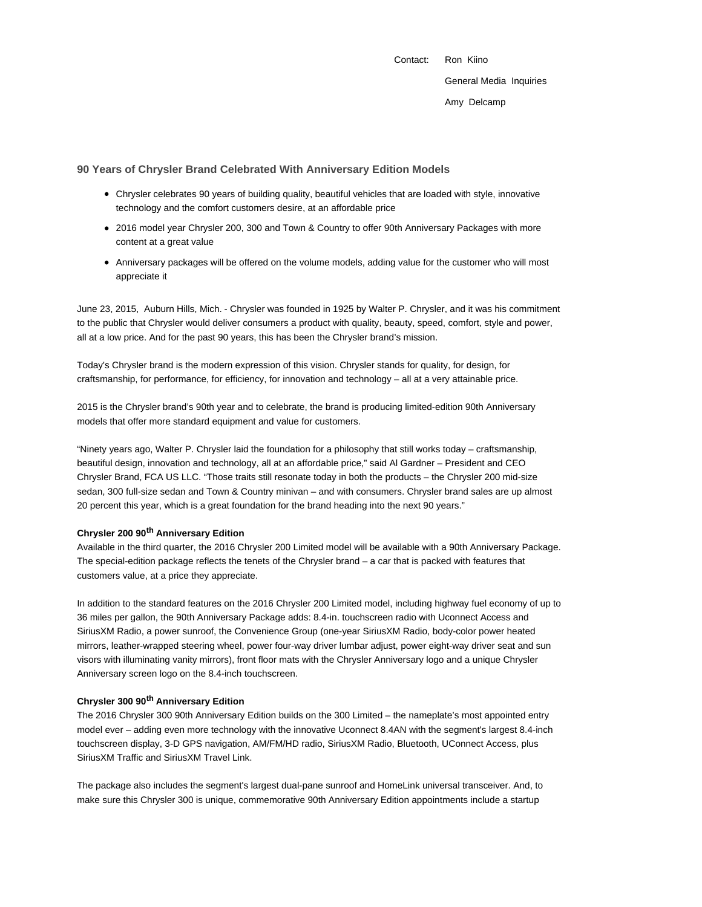Contact: Ron Kiino General Media Inquiries Amy Delcamp

## **90 Years of Chrysler Brand Celebrated With Anniversary Edition Models**

- Chrysler celebrates 90 years of building quality, beautiful vehicles that are loaded with style, innovative technology and the comfort customers desire, at an affordable price
- 2016 model year Chrysler 200, 300 and Town & Country to offer 90th Anniversary Packages with more content at a great value
- Anniversary packages will be offered on the volume models, adding value for the customer who will most appreciate it

June 23, 2015, Auburn Hills, Mich. - Chrysler was founded in 1925 by Walter P. Chrysler, and it was his commitment to the public that Chrysler would deliver consumers a product with quality, beauty, speed, comfort, style and power, all at a low price. And for the past 90 years, this has been the Chrysler brand's mission.

Today's Chrysler brand is the modern expression of this vision. Chrysler stands for quality, for design, for craftsmanship, for performance, for efficiency, for innovation and technology – all at a very attainable price.

2015 is the Chrysler brand's 90th year and to celebrate, the brand is producing limited-edition 90th Anniversary models that offer more standard equipment and value for customers.

"Ninety years ago, Walter P. Chrysler laid the foundation for a philosophy that still works today – craftsmanship, beautiful design, innovation and technology, all at an affordable price," said Al Gardner – President and CEO Chrysler Brand, FCA US LLC. "Those traits still resonate today in both the products – the Chrysler 200 mid-size sedan, 300 full-size sedan and Town & Country minivan – and with consumers. Chrysler brand sales are up almost 20 percent this year, which is a great foundation for the brand heading into the next 90 years."

## **Chrysler 200 90th Anniversary Edition**

Available in the third quarter, the 2016 Chrysler 200 Limited model will be available with a 90th Anniversary Package. The special-edition package reflects the tenets of the Chrysler brand – a car that is packed with features that customers value, at a price they appreciate.

In addition to the standard features on the 2016 Chrysler 200 Limited model, including highway fuel economy of up to 36 miles per gallon, the 90th Anniversary Package adds: 8.4-in. touchscreen radio with Uconnect Access and SiriusXM Radio, a power sunroof, the Convenience Group (one-year SiriusXM Radio, body-color power heated mirrors, leather-wrapped steering wheel, power four-way driver lumbar adjust, power eight-way driver seat and sun visors with illuminating vanity mirrors), front floor mats with the Chrysler Anniversary logo and a unique Chrysler Anniversary screen logo on the 8.4-inch touchscreen.

# **Chrysler 300 90th Anniversary Edition**

The 2016 Chrysler 300 90th Anniversary Edition builds on the 300 Limited – the nameplate's most appointed entry model ever – adding even more technology with the innovative Uconnect 8.4AN with the segment's largest 8.4-inch touchscreen display, 3-D GPS navigation, AM/FM/HD radio, SiriusXM Radio, Bluetooth, UConnect Access, plus SiriusXM Traffic and SiriusXM Travel Link.

The package also includes the segment's largest dual-pane sunroof and HomeLink universal transceiver. And, to make sure this Chrysler 300 is unique, commemorative 90th Anniversary Edition appointments include a startup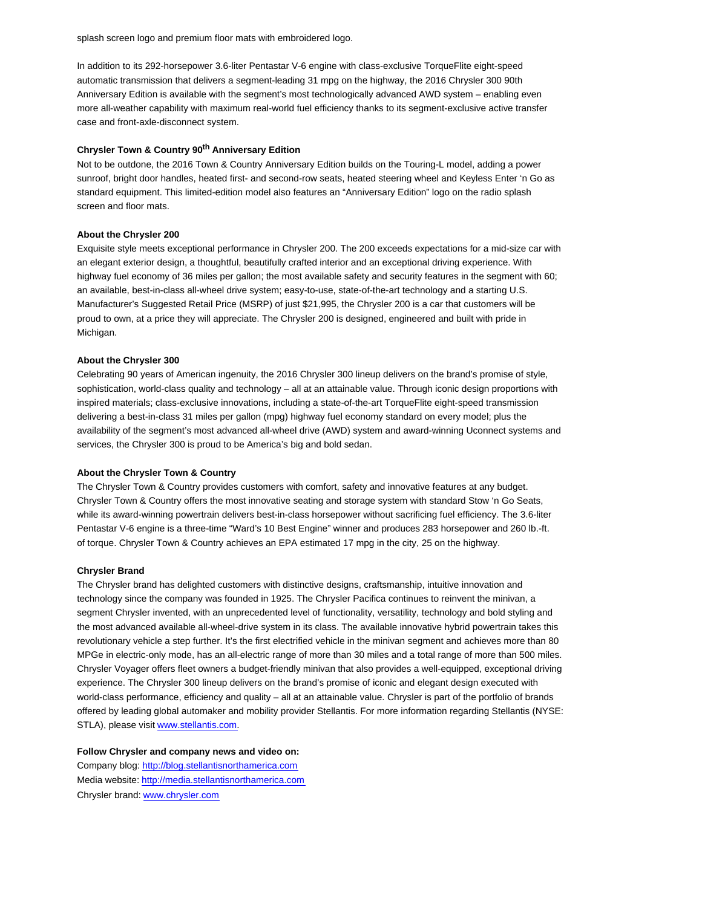splash screen logo and premium floor mats with embroidered logo.

In addition to its 292-horsepower 3.6-liter Pentastar V-6 engine with class-exclusive TorqueFlite eight-speed automatic transmission that delivers a segment-leading 31 mpg on the highway, the 2016 Chrysler 300 90th Anniversary Edition is available with the segment's most technologically advanced AWD system – enabling even more all-weather capability with maximum real-world fuel efficiency thanks to its segment-exclusive active transfer case and front-axle-disconnect system.

# **Chrysler Town & Country 90th Anniversary Edition**

Not to be outdone, the 2016 Town & Country Anniversary Edition builds on the Touring-L model, adding a power sunroof, bright door handles, heated first- and second-row seats, heated steering wheel and Keyless Enter 'n Go as standard equipment. This limited-edition model also features an "Anniversary Edition" logo on the radio splash screen and floor mats.

#### **About the Chrysler 200**

Exquisite style meets exceptional performance in Chrysler 200. The 200 exceeds expectations for a mid-size car with an elegant exterior design, a thoughtful, beautifully crafted interior and an exceptional driving experience. With highway fuel economy of 36 miles per gallon; the most available safety and security features in the segment with 60; an available, best-in-class all-wheel drive system; easy-to-use, state-of-the-art technology and a starting U.S. Manufacturer's Suggested Retail Price (MSRP) of just \$21,995, the Chrysler 200 is a car that customers will be proud to own, at a price they will appreciate. The Chrysler 200 is designed, engineered and built with pride in Michigan.

#### **About the Chrysler 300**

Celebrating 90 years of American ingenuity, the 2016 Chrysler 300 lineup delivers on the brand's promise of style, sophistication, world-class quality and technology – all at an attainable value. Through iconic design proportions with inspired materials; class-exclusive innovations, including a state-of-the-art TorqueFlite eight-speed transmission delivering a best-in-class 31 miles per gallon (mpg) highway fuel economy standard on every model; plus the availability of the segment's most advanced all-wheel drive (AWD) system and award-winning Uconnect systems and services, the Chrysler 300 is proud to be America's big and bold sedan.

## **About the Chrysler Town & Country**

The Chrysler Town & Country provides customers with comfort, safety and innovative features at any budget. Chrysler Town & Country offers the most innovative seating and storage system with standard Stow 'n Go Seats, while its award-winning powertrain delivers best-in-class horsepower without sacrificing fuel efficiency. The 3.6-liter Pentastar V-6 engine is a three-time "Ward's 10 Best Engine" winner and produces 283 horsepower and 260 lb.-ft. of torque. Chrysler Town & Country achieves an EPA estimated 17 mpg in the city, 25 on the highway.

#### **Chrysler Brand**

The Chrysler brand has delighted customers with distinctive designs, craftsmanship, intuitive innovation and technology since the company was founded in 1925. The Chrysler Pacifica continues to reinvent the minivan, a segment Chrysler invented, with an unprecedented level of functionality, versatility, technology and bold styling and the most advanced available all-wheel-drive system in its class. The available innovative hybrid powertrain takes this revolutionary vehicle a step further. It's the first electrified vehicle in the minivan segment and achieves more than 80 MPGe in electric-only mode, has an all-electric range of more than 30 miles and a total range of more than 500 miles. Chrysler Voyager offers fleet owners a budget-friendly minivan that also provides a well-equipped, exceptional driving experience. The Chrysler 300 lineup delivers on the brand's promise of iconic and elegant design executed with world-class performance, efficiency and quality – all at an attainable value. Chrysler is part of the portfolio of brands offered by leading global automaker and mobility provider Stellantis. For more information regarding Stellantis (NYSE: STLA), please visit www.stellantis.com.

## **Follow Chrysler and company news and video on:**

Company blog: http://blog.stellantisnorthamerica.com Media website: http://media.stellantisnorthamerica.com Chrysler brand: www.chrysler.com